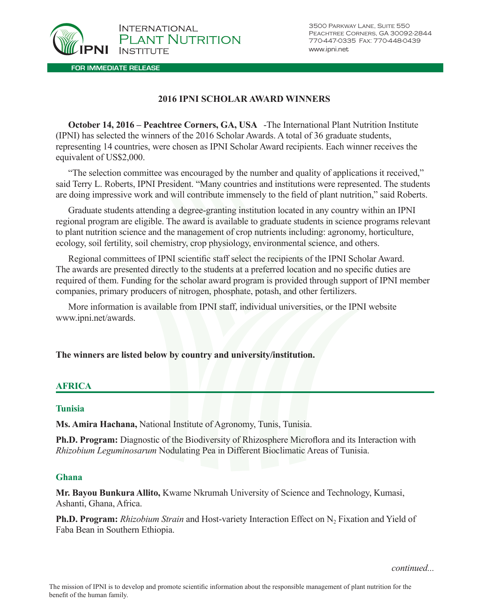

## **2016 IPNI SCHOLAR AWARD WINNERS**

**October 14, 2016 – Peachtree Corners, GA, USA** -The International Plant Nutrition Institute (IPNI) has selected the winners of the 2016 Scholar Awards. A total of 36 graduate students, representing 14 countries, were chosen as IPNI Scholar Award recipients. Each winner receives the equivalent of US\$2,000.

"The selection committee was encouraged by the number and quality of applications it received," said Terry L. Roberts, IPNI President. "Many countries and institutions were represented. The students are doing impressive work and will contribute immensely to the field of plant nutrition," said Roberts.

Graduate students attending a degree-granting institution located in any country within an IPNI regional program are eligible. The award is available to graduate students in science programs relevant to plant nutrition science and the management of crop nutrients including: agronomy, horticulture, ecology, soil fertility, soil chemistry, crop physiology, environmental science, and others.

Regional committees of IPNI scientific staff select the recipients of the IPNI Scholar Award. The awards are presented directly to the students at a preferred location and no specific duties are required of them. Funding for the scholar award program is provided through support of IPNI member companies, primary producers of nitrogen, phosphate, potash, and other fertilizers.

More information is available from IPNI staff, individual universities, or the IPNI website www.ipni.net/awards.

### **The winners are listed below by country and university/institution.**

### **AFRICA**

### **Tunisia**

**Ms. Amira Hachana,** National Institute of Agronomy, Tunis, Tunisia.

**Ph.D. Program:** Diagnostic of the Biodiversity of Rhizosphere Microflora and its Interaction with *Rhizobium Leguminosarum* Nodulating Pea in Different Bioclimatic Areas of Tunisia.

### **Ghana**

**Mr. Bayou Bunkura Allito,** Kwame Nkrumah University of Science and Technology, Kumasi, Ashanti, Ghana, Africa.

**Ph.D. Program:** *Rhizobium Strain* and Host-variety Interaction Effect on N<sub>2</sub> Fixation and Yield of Faba Bean in Southern Ethiopia.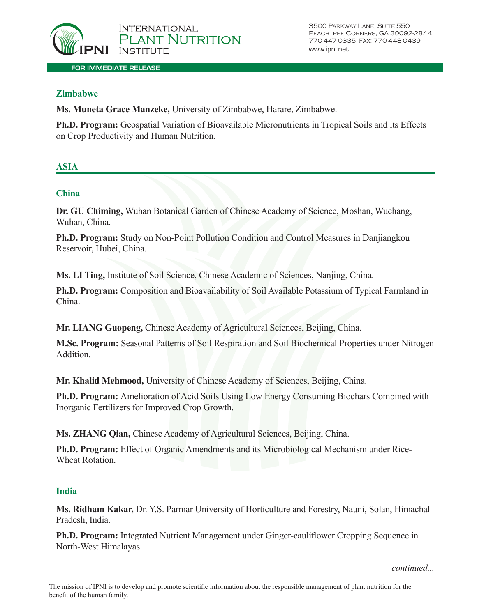

## **Zimbabwe**

**Ms. Muneta Grace Manzeke,** University of Zimbabwe, Harare, Zimbabwe.

**Ph.D. Program:** Geospatial Variation of Bioavailable Micronutrients in Tropical Soils and its Effects on Crop Productivity and Human Nutrition.

# **ASIA**

## **China**

**Dr. GU Chiming,** Wuhan Botanical Garden of Chinese Academy of Science, Moshan, Wuchang, Wuhan, China.

**Ph.D. Program:** Study on Non-Point Pollution Condition and Control Measures in Danjiangkou Reservoir, Hubei, China.

**Ms. LI Ting,** Institute of Soil Science, Chinese Academic of Sciences, Nanjing, China.

**Ph.D. Program:** Composition and Bioavailability of Soil Available Potassium of Typical Farmland in China.

**Mr. LIANG Guopeng,** Chinese Academy of Agricultural Sciences, Beijing, China.

**M.Sc. Program:** Seasonal Patterns of Soil Respiration and Soil Biochemical Properties under Nitrogen Addition.

**Mr. Khalid Mehmood,** University of Chinese Academy of Sciences, Beijing, China.

**Ph.D. Program:** Amelioration of Acid Soils Using Low Energy Consuming Biochars Combined with Inorganic Fertilizers for Improved Crop Growth.

**Ms. ZHANG Qian,** Chinese Academy of Agricultural Sciences, Beijing, China.

**Ph.D. Program:** Effect of Organic Amendments and its Microbiological Mechanism under Rice-Wheat Rotation.

### **India**

**Ms. Ridham Kakar,** Dr. Y.S. Parmar University of Horticulture and Forestry, Nauni, Solan, Himachal Pradesh, India.

**Ph.D. Program:** Integrated Nutrient Management under Ginger-cauliflower Cropping Sequence in North-West Himalayas.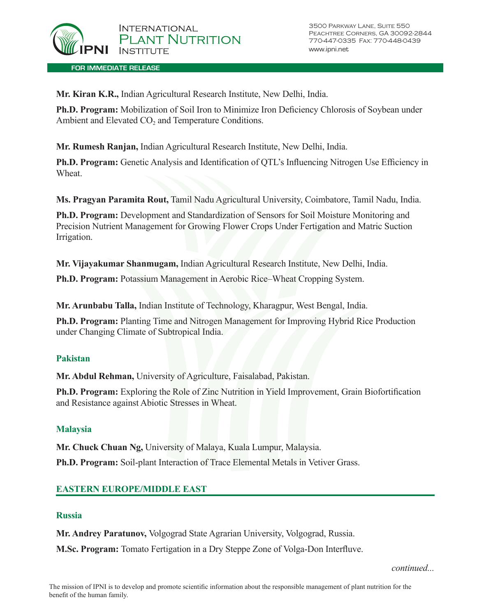

**FOR IMMEDIATE RELEASE**

**Mr. Kiran K.R.,** Indian Agricultural Research Institute, New Delhi, India.

**Ph.D. Program:** Mobilization of Soil Iron to Minimize Iron Deficiency Chlorosis of Soybean under Ambient and Elevated CO<sub>2</sub> and Temperature Conditions.

**Mr. Rumesh Ranjan,** Indian Agricultural Research Institute, New Delhi, India.

**Ph.D. Program:** Genetic Analysis and Identification of QTL's Influencing Nitrogen Use Efficiency in **Wheat** 

**Ms. Pragyan Paramita Rout,** Tamil Nadu Agricultural University, Coimbatore, Tamil Nadu, India.

**Ph.D. Program:** Development and Standardization of Sensors for Soil Moisture Monitoring and Precision Nutrient Management for Growing Flower Crops Under Fertigation and Matric Suction Irrigation.

**Mr. Vijayakumar Shanmugam,** Indian Agricultural Research Institute, New Delhi, India.

**Ph.D. Program:** Potassium Management in Aerobic Rice–Wheat Cropping System.

**Mr. Arunbabu Talla,** Indian Institute of Technology, Kharagpur, West Bengal, India.

**Ph.D. Program:** Planting Time and Nitrogen Management for Improving Hybrid Rice Production under Changing Climate of Subtropical India.

### **Pakistan**

**Mr. Abdul Rehman,** University of Agriculture, Faisalabad, Pakistan.

**Ph.D. Program:** Exploring the Role of Zinc Nutrition in Yield Improvement, Grain Biofortification and Resistance against Abiotic Stresses in Wheat.

### **Malaysia**

**Mr. Chuck Chuan Ng,** University of Malaya, Kuala Lumpur, Malaysia.

**Ph.D. Program:** Soil-plant Interaction of Trace Elemental Metals in Vetiver Grass.

### **EASTERN EUROPE/MIDDLE EAST**

### **Russia**

**Mr. Andrey Paratunov,** Volgograd State Agrarian University, Volgograd, Russia.

**M.Sc. Program:** Tomato Fertigation in a Dry Steppe Zone of Volga-Don Interfluve.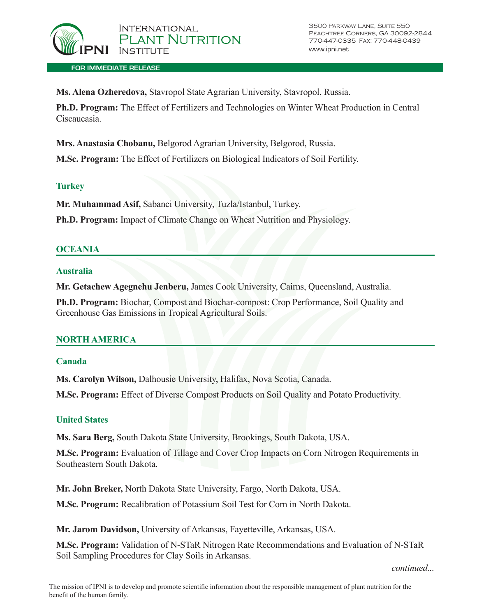

**FOR IMMEDIATE RELEASE**

**Ms. Alena Ozheredovа,** Stavropol State Agrarian University, Stavropol, Russia.

**Ph.D. Program:** The Effect of Fertilizers and Technologies on Winter Wheat Production in Central Ciscaucasia.

**Mrs. Anastasia Chobanu,** Belgorod Agrarian University, Belgorod, Russia.

**M.Sc. Program:** The Effect of Fertilizers on Biological Indicators of Soil Fertility.

### **Turkey**

**Mr. Muhammad Asif,** Sabanci University, Tuzla/Istanbul, Turkey.

**Ph.D. Program:** Impact of Climate Change on Wheat Nutrition and Physiology.

### **OCEANIA**

### **Australia**

**Mr. Getachew Agegnehu Jenberu,** James Cook University, Cairns, Queensland, Australia.

**Ph.D. Program:** Biochar, Compost and Biochar-compost: Crop Performance, Soil Quality and Greenhouse Gas Emissions in Tropical Agricultural Soils.

### **NORTH AMERICA**

### **Canada**

**Ms. Carolyn Wilson,** Dalhousie University, Halifax, Nova Scotia, Canada.

**M.Sc. Program:** Effect of Diverse Compost Products on Soil Quality and Potato Productivity.

### **United States**

**Ms. Sara Berg,** South Dakota State University, Brookings, South Dakota, USA.

**M.Sc. Program:** Evaluation of Tillage and Cover Crop Impacts on Corn Nitrogen Requirements in Southeastern South Dakota.

**Mr. John Breker,** North Dakota State University, Fargo, North Dakota, USA.

**M.Sc. Program:** Recalibration of Potassium Soil Test for Corn in North Dakota.

**Mr. Jarom Davidson,** University of Arkansas, Fayetteville, Arkansas, USA.

**M.Sc. Program:** Validation of N-STaR Nitrogen Rate Recommendations and Evaluation of N-STaR Soil Sampling Procedures for Clay Soils in Arkansas.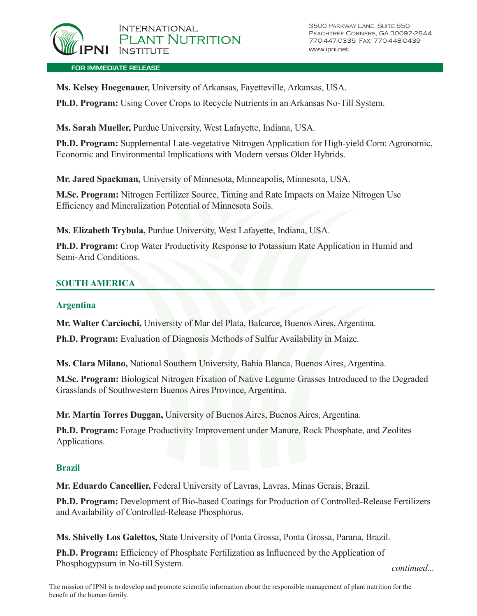

**Ms. Kelsey Hoegenauer,** University of Arkansas, Fayetteville, Arkansas, USA.

**Ph.D. Program:** Using Cover Crops to Recycle Nutrients in an Arkansas No-Till System.

**Ms. Sarah Mueller,** Purdue University, West Lafayette, Indiana, USA.

**Ph.D. Program:** Supplemental Late-vegetative Nitrogen Application for High-yield Corn: Agronomic, Economic and Environmental Implications with Modern versus Older Hybrids.

**Mr. Jared Spackman,** University of Minnesota, Minneapolis, Minnesota, USA.

**M.Sc. Program:** Nitrogen Fertilizer Source, Timing and Rate Impacts on Maize Nitrogen Use Efficiency and Mineralization Potential of Minnesota Soils.

**Ms. Elizabeth Trybula,** Purdue University, West Lafayette, Indiana, USA.

**Ph.D. Program:** Crop Water Productivity Response to Potassium Rate Application in Humid and Semi-Arid Conditions.

# **SOUTH AMERICA**

## **Argentina**

**Mr. Walter Carciochi,** University of Mar del Plata, Balcarce, Buenos Aires, Argentina.

**Ph.D. Program:** Evaluation of Diagnosis Methods of Sulfur Availability in Maize.

**Ms. Clara Milano,** National Southern University, Bahia Blanca, Buenos Aires, Argentina.

**M.Sc. Program:** Biological Nitrogen Fixation of Native Legume Grasses Introduced to the Degraded Grasslands of Southwestern Buenos Aires Province, Argentina.

**Mr. Martín Torres Duggan,** University of Buenos Aires, Buenos Aires, Argentina.

**Ph.D. Program:** Forage Productivity Improvement under Manure, Rock Phosphate, and Zeolites Applications.

# **Brazil**

**Mr. Eduardo Cancellier,** Federal University of Lavras, Lavras, Minas Gerais, Brazil.

**Ph.D. Program:** Development of Bio-based Coatings for Production of Controlled-Release Fertilizers and Availability of Controlled-Release Phosphorus.

**Ms. Shivelly Los Galettos,** State University of Ponta Grossa, Ponta Grossa, Parana, Brazil.

**Ph.D. Program:** Efficiency of Phosphate Fertilization as Influenced by the Application of Phosphogypsum in No-till System. *continued...*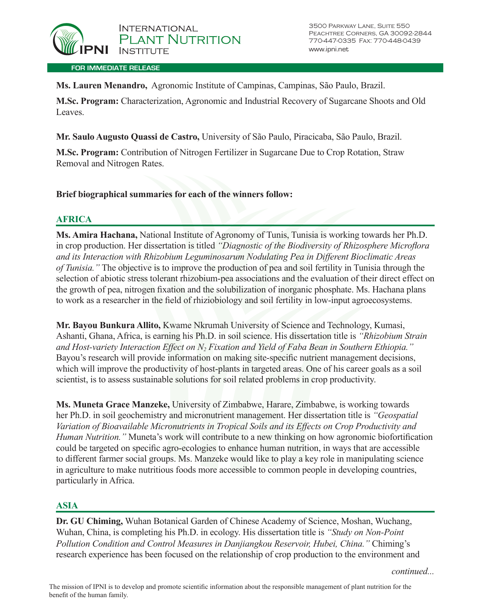

**Ms. Lauren Menandro,** Agronomic Institute of Campinas, Campinas, São Paulo, Brazil.

**M.Sc. Program:** Characterization, Agronomic and Industrial Recovery of Sugarcane Shoots and Old Leaves.

**Mr. Saulo Augusto Quassi de Castro,** University of São Paulo, Piracicaba, São Paulo, Brazil.

**M.Sc. Program:** Contribution of Nitrogen Fertilizer in Sugarcane Due to Crop Rotation, Straw Removal and Nitrogen Rates.

**Brief biographical summaries for each of the winners follow:**

# **AFRICA**

**Ms. Amira Hachana,** National Institute of Agronomy of Tunis, Tunisia is working towards her Ph.D. in crop production. Her dissertation is titled *"Diagnostic of the Biodiversity of Rhizosphere Microflora and its Interaction with Rhizobium Leguminosarum Nodulating Pea in Different Bioclimatic Areas of Tunisia."* The objective is to improve the production of pea and soil fertility in Tunisia through the selection of abiotic stress tolerant rhizobium-pea associations and the evaluation of their direct effect on the growth of pea, nitrogen fixation and the solubilization of inorganic phosphate. Ms. Hachana plans to work as a researcher in the field of rhiziobiology and soil fertility in low-input agroecosystems.

**Mr. Bayou Bunkura Allito,** Kwame Nkrumah University of Science and Technology, Kumasi, Ashanti, Ghana, Africa, is earning his Ph.D. in soil science. His dissertation title is *"Rhizobium Strain and Host-variety Interaction Effect on N2 Fixation and Yield of Faba Bean in Southern Ethiopia."*  Bayou's research will provide information on making site-specific nutrient management decisions, which will improve the productivity of host-plants in targeted areas. One of his career goals as a soil scientist, is to assess sustainable solutions for soil related problems in crop productivity.

**Ms. Muneta Grace Manzeke,** University of Zimbabwe, Harare, Zimbabwe, is working towards her Ph.D. in soil geochemistry and micronutrient management. Her dissertation title is *"Geospatial Variation of Bioavailable Micronutrients in Tropical Soils and its Effects on Crop Productivity and Human Nutrition."* Muneta's work will contribute to a new thinking on how agronomic biofortification could be targeted on specific agro-ecologies to enhance human nutrition, in ways that are accessible to different farmer social groups. Ms. Manzeke would like to play a key role in manipulating science in agriculture to make nutritious foods more accessible to common people in developing countries, particularly in Africa.

# **ASIA**

**Dr. GU Chiming,** Wuhan Botanical Garden of Chinese Academy of Science, Moshan, Wuchang, Wuhan, China, is completing his Ph.D. in ecology. His dissertation title is *"Study on Non-Point Pollution Condition and Control Measures in Danjiangkou Reservoir, Hubei, China."* Chiming's research experience has been focused on the relationship of crop production to the environment and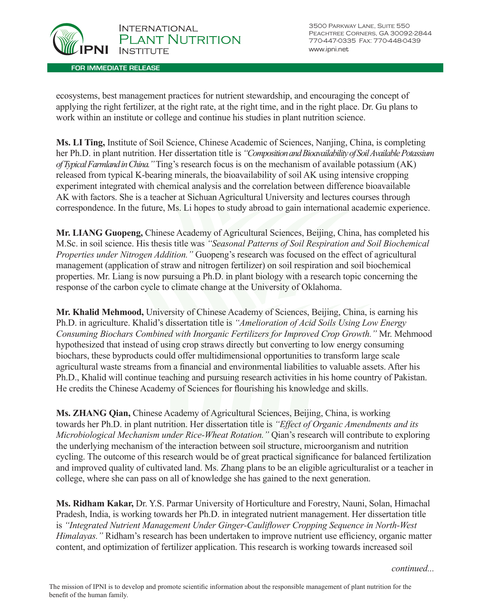

**FOR IMMEDIATE RELEASE**

ecosystems, best management practices for nutrient stewardship, and encouraging the concept of applying the right fertilizer, at the right rate, at the right time, and in the right place. Dr. Gu plans to work within an institute or college and continue his studies in plant nutrition science.

**Ms. LI Ting,** Institute of Soil Science, Chinese Academic of Sciences, Nanjing, China, is completing her Ph.D. in plant nutrition. Her dissertation title is *"Composition and Bioavailability of Soil Available Potassium of Typical Farmland in China."* Ting's research focus is on the mechanism of available potassium (AK) released from typical K-bearing minerals, the bioavailability of soil AK using intensive cropping experiment integrated with chemical analysis and the correlation between difference bioavailable AK with factors. She is a teacher at Sichuan Agricultural University and lectures courses through correspondence. In the future, Ms. Li hopes to study abroad to gain international academic experience.

**Mr. LIANG Guopeng,** Chinese Academy of Agricultural Sciences, Beijing, China, has completed his M.Sc. in soil science. His thesis title was *"Seasonal Patterns of Soil Respiration and Soil Biochemical Properties under Nitrogen Addition."* Guopeng's research was focused on the effect of agricultural management (application of straw and nitrogen fertilizer) on soil respiration and soil biochemical properties. Mr. Liang is now pursuing a Ph.D. in plant biology with a research topic concerning the response of the carbon cycle to climate change at the University of Oklahoma.

**Mr. Khalid Mehmood,** University of Chinese Academy of Sciences, Beijing, China, is earning his Ph.D. in agriculture. Khalid's dissertation title is *"Amelioration of Acid Soils Using Low Energy Consuming Biochars Combined with Inorganic Fertilizers for Improved Crop Growth."* Mr. Mehmood hypothesized that instead of using crop straws directly but converting to low energy consuming biochars, these byproducts could offer multidimensional opportunities to transform large scale agricultural waste streams from a financial and environmental liabilities to valuable assets. After his Ph.D., Khalid will continue teaching and pursuing research activities in his home country of Pakistan. He credits the Chinese Academy of Sciences for flourishing his knowledge and skills.

**Ms. ZHANG Qian,** Chinese Academy of Agricultural Sciences, Beijing, China, is working towards her Ph.D. in plant nutrition. Her dissertation title is *"Effect of Organic Amendments and its Microbiological Mechanism under Rice-Wheat Rotation."* Qian's research will contribute to exploring the underlying mechanism of the interaction between soil structure, microorganism and nutrition cycling. The outcome of this research would be of great practical significance for balanced fertilization and improved quality of cultivated land. Ms. Zhang plans to be an eligible agriculturalist or a teacher in college, where she can pass on all of knowledge she has gained to the next generation.

**Ms. Ridham Kakar,** Dr. Y.S. Parmar University of Horticulture and Forestry, Nauni, Solan, Himachal Pradesh, India, is working towards her Ph.D. in integrated nutrient management. Her dissertation title is *"Integrated Nutrient Management Under Ginger-Cauliflower Cropping Sequence in North-West Himalayas."* Ridham's research has been undertaken to improve nutrient use efficiency, organic matter content, and optimization of fertilizer application. This research is working towards increased soil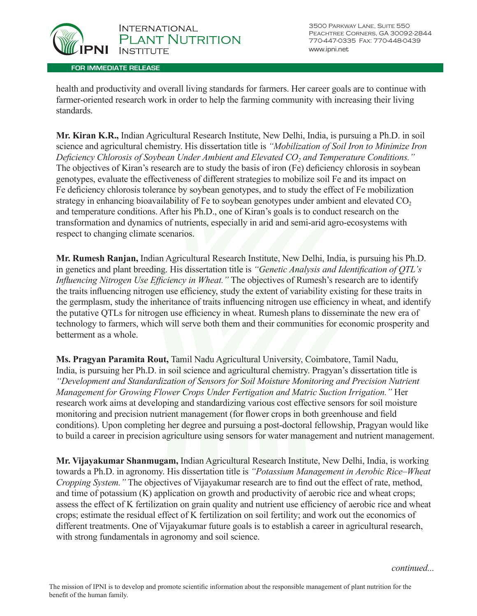

health and productivity and overall living standards for farmers. Her career goals are to continue with farmer-oriented research work in order to help the farming community with increasing their living standards.

**Mr. Kiran K.R.,** Indian Agricultural Research Institute, New Delhi, India, is pursuing a Ph.D. in soil science and agricultural chemistry. His dissertation title is *"Mobilization of Soil Iron to Minimize Iron Deficiency Chlorosis of Soybean Under Ambient and Elevated CO2 and Temperature Conditions."* The objectives of Kiran's research are to study the basis of iron (Fe) deficiency chlorosis in soybean genotypes, evaluate the effectiveness of different strategies to mobilize soil Fe and its impact on Fe deficiency chlorosis tolerance by soybean genotypes, and to study the effect of Fe mobilization strategy in enhancing bioavailability of Fe to soybean genotypes under ambient and elevated  $CO<sub>2</sub>$ and temperature conditions. After his Ph.D., one of Kiran's goals is to conduct research on the transformation and dynamics of nutrients, especially in arid and semi-arid agro-ecosystems with respect to changing climate scenarios.

**Mr. Rumesh Ranjan,** Indian Agricultural Research Institute, New Delhi, India, is pursuing his Ph.D. in genetics and plant breeding. His dissertation title is *"Genetic Analysis and Identification of QTL's Influencing Nitrogen Use Efficiency in Wheat."* The objectives of Rumesh's research are to identify the traits influencing nitrogen use efficiency, study the extent of variability existing for these traits in the germplasm, study the inheritance of traits influencing nitrogen use efficiency in wheat, and identify the putative QTLs for nitrogen use efficiency in wheat. Rumesh plans to disseminate the new era of technology to farmers, which will serve both them and their communities for economic prosperity and betterment as a whole.

**Ms. Pragyan Paramita Rout,** Tamil Nadu Agricultural University, Coimbatore, Tamil Nadu, India, is pursuing her Ph.D. in soil science and agricultural chemistry. Pragyan's dissertation title is *"Development and Standardization of Sensors for Soil Moisture Monitoring and Precision Nutrient Management for Growing Flower Crops Under Fertigation and Matric Suction Irrigation."* Her research work aims at developing and standardizing various cost effective sensors for soil moisture monitoring and precision nutrient management (for flower crops in both greenhouse and field conditions). Upon completing her degree and pursuing a post-doctoral fellowship, Pragyan would like to build a career in precision agriculture using sensors for water management and nutrient management.

**Mr. Vijayakumar Shanmugam,** Indian Agricultural Research Institute, New Delhi, India, is working towards a Ph.D. in agronomy. His dissertation title is *"Potassium Management in Aerobic Rice–Wheat Cropping System."* The objectives of Vijayakumar research are to find out the effect of rate, method, and time of potassium (K) application on growth and productivity of aerobic rice and wheat crops; assess the effect of K fertilization on grain quality and nutrient use efficiency of aerobic rice and wheat crops; estimate the residual effect of K fertilization on soil fertility; and work out the economics of different treatments. One of Vijayakumar future goals is to establish a career in agricultural research, with strong fundamentals in agronomy and soil science.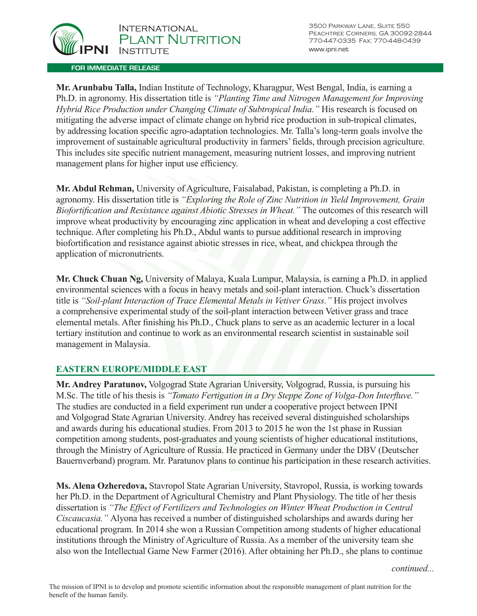

**Mr. Arunbabu Talla,** Indian Institute of Technology, Kharagpur, West Bengal, India, is earning a Ph.D. in agronomy. His dissertation title is *"Planting Time and Nitrogen Management for Improving Hybrid Rice Production under Changing Climate of Subtropical India."* His research is focused on mitigating the adverse impact of climate change on hybrid rice production in sub-tropical climates, by addressing location specific agro-adaptation technologies. Mr. Talla's long-term goals involve the improvement of sustainable agricultural productivity in farmers' fields, through precision agriculture. This includes site specific nutrient management, measuring nutrient losses, and improving nutrient management plans for higher input use efficiency.

**Mr. Abdul Rehman,** University of Agriculture, Faisalabad, Pakistan, is completing a Ph.D. in agronomy. His dissertation title is *"Exploring the Role of Zinc Nutrition in Yield Improvement, Grain Biofortification and Resistance against Abiotic Stresses in Wheat."* The outcomes of this research will improve wheat productivity by encouraging zinc application in wheat and developing a cost effective technique. After completing his Ph.D., Abdul wants to pursue additional research in improving biofortification and resistance against abiotic stresses in rice, wheat, and chickpea through the application of micronutrients.

**Mr. Chuck Chuan Ng,** University of Malaya, Kuala Lumpur, Malaysia, is earning a Ph.D. in applied environmental sciences with a focus in heavy metals and soil-plant interaction. Chuck's dissertation title is *"Soil-plant Interaction of Trace Elemental Metals in Vetiver Grass."* His project involves a comprehensive experimental study of the soil-plant interaction between Vetiver grass and trace elemental metals. After finishing his Ph.D., Chuck plans to serve as an academic lecturer in a local tertiary institution and continue to work as an environmental research scientist in sustainable soil management in Malaysia.

# **EASTERN EUROPE/MIDDLE EAST**

**Mr. Andrey Paratunov,** Volgograd State Agrarian University, Volgograd, Russia, is pursuing his M.Sc. The title of his thesis is *"Tomato Fertigation in a Dry Steppe Zone of Volga-Don Interfluve."* The studies are conducted in a field experiment run under a cooperative project between IPNI and Volgograd State Agrarian University. Andrey has received several distinguished scholarships and awards during his educational studies. From 2013 to 2015 he won the 1st phase in Russian competition among students, post-graduates and young scientists of higher educational institutions, through the Ministry of Agriculture of Russia. He practiced in Germany under the DBV (Deutscher Bauernverband) program. Mr. Paratunov plans to continue his participation in these research activities.

**Ms. Alena Ozheredovа,** Stavropol State Agrarian University, Stavropol, Russia, is working towards her Ph.D. in the Department of Agricultural Chemistry and Plant Physiology. The title of her thesis dissertation is *"The Effect of Fertilizers and Technologies on Winter Wheat Production in Central Ciscaucasia."* Alyona has received a number of distinguished scholarships and awards during her educational program. In 2014 she won a Russian Competition among students of higher educational institutions through the Ministry of Agriculture of Russia. As a member of the university team she also won the Intellectual Game New Farmer (2016). After obtaining her Ph.D., she plans to continue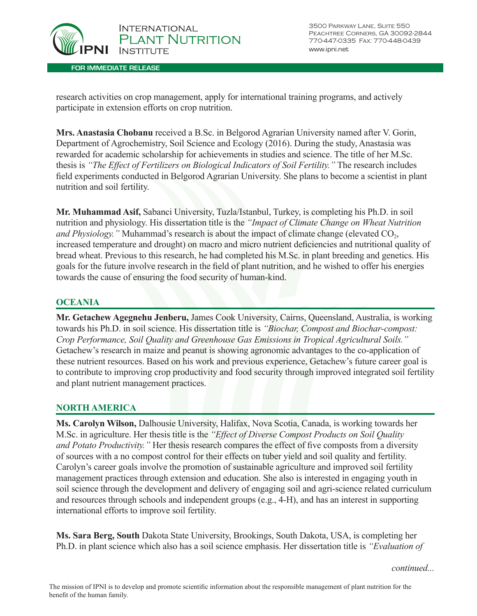

3500 Parkway Lane, Suite 550 Peachtree Corners, GA 30092-2844 770-447-0335 Fax: 770-448-0439 www.ipni.net

research activities on crop management, apply for international training programs, and actively participate in extension efforts on crop nutrition.

**Mrs. Anastasia Chobanu** received a B.Sc. in Belgorod Agrarian University named after V. Gorin, Department of Agrochemistry, Soil Science and Ecology (2016). During the study, Anastasia was rewarded for academic scholarship for achievements in studies and science. The title of her M.Sc. thesis is *"The Effect of Fertilizers on Biological Indicators of Soil Fertility."* The research includes field experiments conducted in Belgorod Agrarian University. She plans to become a scientist in plant nutrition and soil fertility.

**Mr. Muhammad Asif,** Sabanci University, Tuzla/Istanbul, Turkey, is completing his Ph.D. in soil nutrition and physiology. His dissertation title is the *"Impact of Climate Change on Wheat Nutrition and Physiology.*" Muhammad's research is about the impact of climate change (elevated CO<sub>2</sub>, increased temperature and drought) on macro and micro nutrient deficiencies and nutritional quality of bread wheat. Previous to this research, he had completed his M.Sc. in plant breeding and genetics. His goals for the future involve research in the field of plant nutrition, and he wished to offer his energies towards the cause of ensuring the food security of human-kind.

## **OCEANIA**

**Mr. Getachew Agegnehu Jenberu,** James Cook University, Cairns, Queensland, Australia, is working towards his Ph.D. in soil science. His dissertation title is *"Biochar, Compost and Biochar-compost: Crop Performance, Soil Quality and Greenhouse Gas Emissions in Tropical Agricultural Soils."* Getachew's research in maize and peanut is showing agronomic advantages to the co-application of these nutrient resources. Based on his work and previous experience, Getachew's future career goal is to contribute to improving crop productivity and food security through improved integrated soil fertility and plant nutrient management practices.

### **NORTH AMERICA**

**Ms. Carolyn Wilson,** Dalhousie University, Halifax, Nova Scotia, Canada, is working towards her M.Sc. in agriculture. Her thesis title is the *"Effect of Diverse Compost Products on Soil Quality and Potato Productivity."* Her thesis research compares the effect of five composts from a diversity of sources with a no compost control for their effects on tuber yield and soil quality and fertility. Carolyn's career goals involve the promotion of sustainable agriculture and improved soil fertility management practices through extension and education. She also is interested in engaging youth in soil science through the development and delivery of engaging soil and agri-science related curriculum and resources through schools and independent groups (e.g., 4-H), and has an interest in supporting international efforts to improve soil fertility.

**Ms. Sara Berg, South** Dakota State University, Brookings, South Dakota, USA, is completing her Ph.D. in plant science which also has a soil science emphasis. Her dissertation title is *"Evaluation of*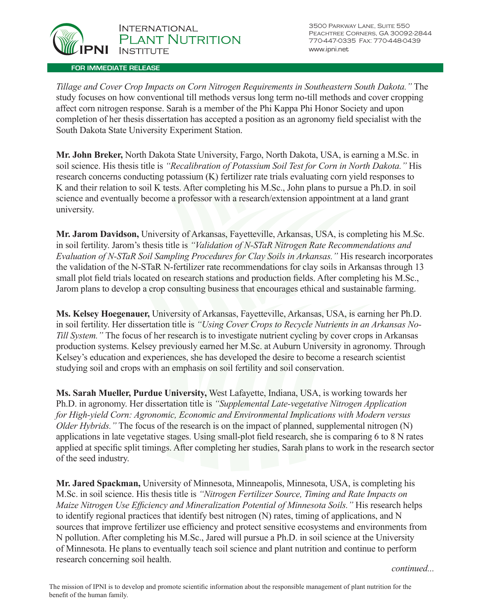

3500 Parkway Lane, Suite 550 Peachtree Corners, GA 30092-2844 770-447-0335 Fax: 770-448-0439 www.ipni.net

*Tillage and Cover Crop Impacts on Corn Nitrogen Requirements in Southeastern South Dakota."* The study focuses on how conventional till methods versus long term no-till methods and cover cropping affect corn nitrogen response. Sarah is a member of the Phi Kappa Phi Honor Society and upon completion of her thesis dissertation has accepted a position as an agronomy field specialist with the South Dakota State University Experiment Station.

**Mr. John Breker,** North Dakota State University, Fargo, North Dakota, USA, is earning a M.Sc. in soil science. His thesis title is *"Recalibration of Potassium Soil Test for Corn in North Dakota."* His research concerns conducting potassium (K) fertilizer rate trials evaluating corn yield responses to K and their relation to soil K tests. After completing his M.Sc., John plans to pursue a Ph.D. in soil science and eventually become a professor with a research/extension appointment at a land grant university.

**Mr. Jarom Davidson,** University of Arkansas, Fayetteville, Arkansas, USA, is completing his M.Sc. in soil fertility. Jarom's thesis title is *"Validation of N-STaR Nitrogen Rate Recommendations and Evaluation of N-STaR Soil Sampling Procedures for Clay Soils in Arkansas."* His research incorporates the validation of the N-STaR N-fertilizer rate recommendations for clay soils in Arkansas through 13 small plot field trials located on research stations and production fields. After completing his M.Sc., Jarom plans to develop a crop consulting business that encourages ethical and sustainable farming.

**Ms. Kelsey Hoegenauer,** University of Arkansas, Fayetteville, Arkansas, USA, is earning her Ph.D. in soil fertility. Her dissertation title is *"Using Cover Crops to Recycle Nutrients in an Arkansas No-Till System."* The focus of her research is to investigate nutrient cycling by cover crops in Arkansas production systems. Kelsey previously earned her M.Sc. at Auburn University in agronomy. Through Kelsey's education and experiences, she has developed the desire to become a research scientist studying soil and crops with an emphasis on soil fertility and soil conservation.

**Ms. Sarah Mueller, Purdue University,** West Lafayette, Indiana, USA, is working towards her Ph.D. in agronomy. Her dissertation title is *"Supplemental Late-vegetative Nitrogen Application for High-yield Corn: Agronomic, Economic and Environmental Implications with Modern versus Older Hybrids.*" The focus of the research is on the impact of planned, supplemental nitrogen (N) applications in late vegetative stages. Using small-plot field research, she is comparing 6 to 8 N rates applied at specific split timings. After completing her studies, Sarah plans to work in the research sector of the seed industry.

**Mr. Jared Spackman,** University of Minnesota, Minneapolis, Minnesota, USA, is completing his M.Sc. in soil science. His thesis title is *"Nitrogen Fertilizer Source, Timing and Rate Impacts on Maize Nitrogen Use Efficiency and Mineralization Potential of Minnesota Soils."* His research helps to identify regional practices that identify best nitrogen (N) rates, timing of applications, and N sources that improve fertilizer use efficiency and protect sensitive ecosystems and environments from N pollution. After completing his M.Sc., Jared will pursue a Ph.D. in soil science at the University of Minnesota. He plans to eventually teach soil science and plant nutrition and continue to perform research concerning soil health.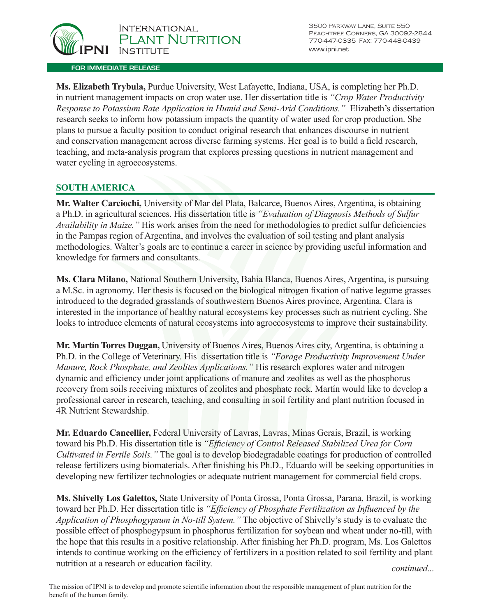

**Ms. Elizabeth Trybula,** Purdue University, West Lafayette, Indiana, USA, is completing her Ph.D. in nutrient management impacts on crop water use. Her dissertation title is *"Crop Water Productivity Response to Potassium Rate Application in Humid and Semi-Arid Conditions."* Elizabeth's dissertation research seeks to inform how potassium impacts the quantity of water used for crop production. She plans to pursue a faculty position to conduct original research that enhances discourse in nutrient and conservation management across diverse farming systems. Her goal is to build a field research, teaching, and meta-analysis program that explores pressing questions in nutrient management and water cycling in agroecosystems.

# **SOUTH AMERICA**

**Mr. Walter Carciochi,** University of Mar del Plata, Balcarce, Buenos Aires, Argentina, is obtaining a Ph.D. in agricultural sciences. His dissertation title is *"Evaluation of Diagnosis Methods of Sulfur Availability in Maize."* His work arises from the need for methodologies to predict sulfur deficiencies in the Pampas region of Argentina, and involves the evaluation of soil testing and plant analysis methodologies. Walter's goals are to continue a career in science by providing useful information and knowledge for farmers and consultants.

**Ms. Clara Milano,** National Southern University, Bahia Blanca, Buenos Aires, Argentina, is pursuing a M.Sc. in agronomy. Her thesis is focused on the biological nitrogen fixation of native legume grasses introduced to the degraded grasslands of southwestern Buenos Aires province, Argentina. Clara is interested in the importance of healthy natural ecosystems key processes such as nutrient cycling. She looks to introduce elements of natural ecosystems into agroecosystems to improve their sustainability.

**Mr. Martín Torres Duggan,** University of Buenos Aires, Buenos Aires city, Argentina, is obtaining a Ph.D. in the College of Veterinary. His dissertation title is *"Forage Productivity Improvement Under Manure, Rock Phosphate, and Zeolites Applications."* His research explores water and nitrogen dynamic and efficiency under joint applications of manure and zeolites as well as the phosphorus recovery from soils receiving mixtures of zeolites and phosphate rock. Martín would like to develop a professional career in research, teaching, and consulting in soil fertility and plant nutrition focused in 4R Nutrient Stewardship.

**Mr. Eduardo Cancellier,** Federal University of Lavras, Lavras, Minas Gerais, Brazil, is working toward his Ph.D. His dissertation title is *"Efficiency of Control Released Stabilized Urea for Corn Cultivated in Fertile Soils."* The goal is to develop biodegradable coatings for production of controlled release fertilizers using biomaterials. After finishing his Ph.D., Eduardo will be seeking opportunities in developing new fertilizer technologies or adequate nutrient management for commercial field crops.

**Ms. Shivelly Los Galettos,** State University of Ponta Grossa, Ponta Grossa, Parana, Brazil, is working toward her Ph.D. Her dissertation title is *"Efficiency of Phosphate Fertilization as Influenced by the Application of Phosphogypsum in No-till System."* The objective of Shivelly's study is to evaluate the possible effect of phosphogypsum in phosphorus fertilization for soybean and wheat under no-till, with the hope that this results in a positive relationship. After finishing her Ph.D. program, Ms. Los Galettos intends to continue working on the efficiency of fertilizers in a position related to soil fertility and plant nutrition at a research or education facility. *continued... continued...*